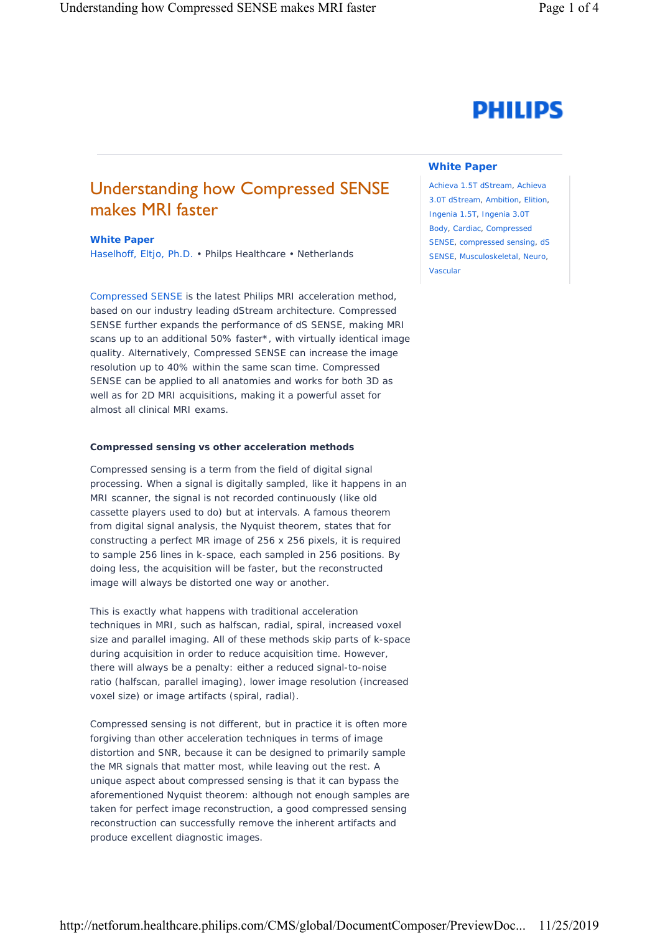# **PHILIPS**

## Understanding how Compressed SENSE makes MRI faster

#### **White Paper**

Haselhoff, Eltjo, Ph.D. • Philps Healthcare • Netherlands

[Compressed SENSE](https://www.usa.philips.com/healthcare/resources/landing/compressed-sense) is the latest Philips MRI acceleration method, based on our industry leading dStream architecture. Compressed SENSE further expands the performance of dS SENSE, making MRI scans up to an additional 50% faster\*, with virtually identical image quality. Alternatively, Compressed SENSE can increase the image resolution up to 40% within the same scan time. Compressed SENSE can be applied to all anatomies and works for both 3D as well as for 2D MRI acquisitions, making it a powerful asset for almost all clinical MRI exams.

#### **Compressed sensing vs other acceleration methods**

Compressed sensing is a term from the field of digital signal processing. When a signal is digitally sampled, like it happens in an MRI scanner, the signal is not recorded continuously (like old cassette players used to do) but at intervals. A famous theorem from digital signal analysis, the Nyquist theorem, states that for constructing a perfect MR image of 256 x 256 pixels, it is required to sample 256 lines in k-space, each sampled in 256 positions. By doing less, the acquisition will be faster, but the reconstructed image will always be distorted one way or another.

This is exactly what happens with traditional acceleration techniques in MRI, such as halfscan, radial, spiral, increased voxel size and parallel imaging. All of these methods skip parts of k-space during acquisition in order to reduce acquisition time. However, there will always be a penalty: either a reduced signal-to-noise ratio (halfscan, parallel imaging), lower image resolution (increased voxel size) or image artifacts (spiral, radial).

Compressed sensing is not different, but in practice it is often more forgiving than other acceleration techniques in terms of image distortion and SNR, because it can be designed to primarily sample the MR signals that matter most, while leaving out the rest. A unique aspect about compressed sensing is that it can bypass the aforementioned Nyquist theorem: although not enough samples are taken for perfect image reconstruction, a good compressed sensing reconstruction can successfully remove the inherent artifacts and produce excellent diagnostic images.

#### **White Paper**

Achieva 1.5T dStream, Achieva 3.0T dStream, Ambition, Elition, Ingenia 1.5T, Ingenia 3.0T Body, Cardiac, Compressed SENSE, compressed sensing, dS SENSE, Musculoskeletal, Neuro, Vascular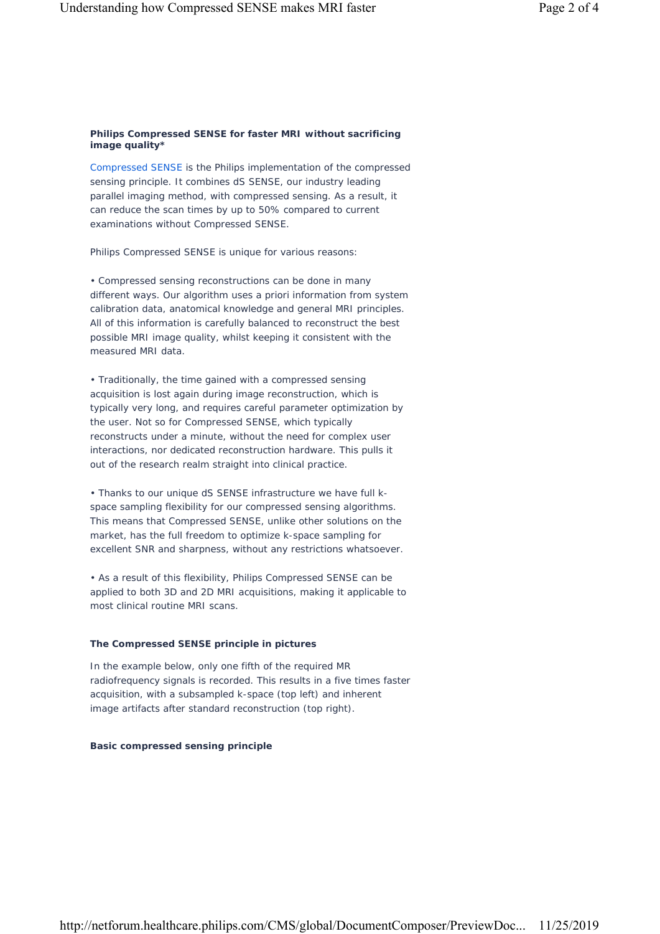#### **Philips Compressed SENSE for faster MRI without sacrificing image quality\***

[Compressed SENSE i](https://www.usa.philips.com/healthcare/resources/landing/compressed-sense)s the Philips implementation of the compressed sensing principle. It combines dS SENSE, our industry leading parallel imaging method, with compressed sensing. As a result, it can reduce the scan times by up to 50% compared to current examinations without Compressed SENSE.

Philips Compressed SENSE is unique for various reasons:

• Compressed sensing reconstructions can be done in many different ways. Our algorithm uses a priori information from system calibration data, anatomical knowledge and general MRI principles. All of this information is carefully balanced to reconstruct the best possible MRI image quality, whilst keeping it consistent with the measured MRI data.

• Traditionally, the time gained with a compressed sensing acquisition is lost again during image reconstruction, which is typically very long, and requires careful parameter optimization by the user. Not so for Compressed SENSE, which typically reconstructs under a minute, without the need for complex user interactions, nor dedicated reconstruction hardware. This pulls it out of the research realm straight into clinical practice.

• Thanks to our unique dS SENSE infrastructure we have full kspace sampling flexibility for our compressed sensing algorithms. This means that Compressed SENSE, unlike other solutions on the market, has the full freedom to optimize k-space sampling for excellent SNR and sharpness, without any restrictions whatsoever.

• As a result of this flexibility, Philips Compressed SENSE can be applied to both 3D and 2D MRI acquisitions, making it applicable to most clinical routine MRI scans.

### **The Compressed SENSE principle in pictures**

In the example below, only one fifth of the required MR radiofrequency signals is recorded. This results in a five times faster acquisition, with a subsampled k-space (top left) and inherent image artifacts after standard reconstruction (top right).

#### **Basic compressed sensing principle**